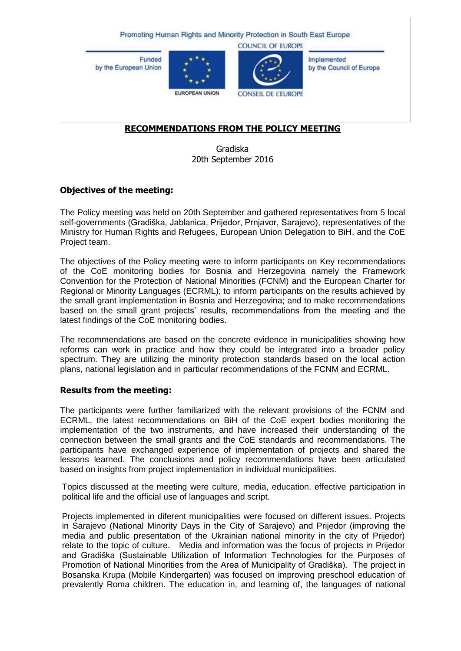Promoting Human Rights and Minority Protection in South East Europe

**Funded** by the European Union





**COUNCIL OF EUROPE** 

Implemented by the Council of Europe

EUROPEAN UNION

**CONSEIL DE L'EUROPE** 

# **RECOMMENDATIONS FROM THE POLICY MEETING**

Gradiska 20th September 2016

## **Objectives of the meeting:**

The Policy meeting was held on 20th September and gathered representatives from 5 local self-governments (Gradiška, Jablanica, Prijedor, Prnjavor, Sarajevo), representatives of the Ministry for Human Rights and Refugees, European Union Delegation to BiH, and the CoE Project team.

The objectives of the Policy meeting were to inform participants on Key recommendations of the CoE monitoring bodies for Bosnia and Herzegovina namely the Framework Convention for the Protection of National Minorities (FCNM) and the European Charter for Regional or Minority Languages (ECRML); to inform participants on the results achieved by the small grant implementation in Bosnia and Herzegovina; and to make recommendations based on the small grant projects' results, recommendations from the meeting and the latest findings of the CoE monitoring bodies.

The recommendations are based on the concrete evidence in municipalities showing how reforms can work in practice and how they could be integrated into a broader policy spectrum. They are utilizing the minority protection standards based on the local action plans, national legislation and in particular recommendations of the FCNM and ECRML.

## **Results from the meeting:**

The participants were further familiarized with the relevant provisions of the FCNM and ECRML, the latest recommendations on BiH of the CoE expert bodies monitoring the implementation of the two instruments, and have increased their understanding of the connection between the small grants and the CoE standards and recommendations. The participants have exchanged experience of implementation of projects and shared the lessons learned. The conclusions and policy recommendations have been articulated based on insights from project implementation in individual municipalities.

Topics discussed at the meeting were culture, media, education, effective participation in political life and the official use of languages and script.

Projects implemented in diferent municipalities were focused on different issues. Projects in Sarajevo (National Minority Days in the City of Sarajevo) and Prijedor (improving the media and public presentation of the Ukrainian national minority in the city of Prijedor) relate to the topic of culture. Media and information was the focus of projects in Prijedor and Gradiška (Sustainable Utilization of Information Technologies for the Purposes of Promotion of National Minorities from the Area of Municipality of Gradiška). The project in Bosanska Krupa (Mobile Kindergarten) was focused on improving preschool education of prevalently Roma children. The education in, and learning of, the languages of national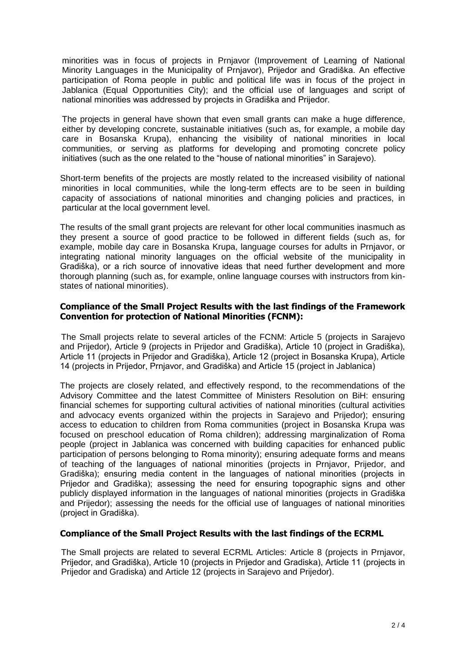minorities was in focus of projects in Prnjavor (Improvement of Learning of National Minority Languages in the Municipality of Prnjavor), Prijedor and Gradiška. An effective participation of Roma people in public and political life was in focus of the project in Jablanica (Equal Opportunities City); and the official use of languages and script of national minorities was addressed by projects in Gradiška and Prijedor.

The projects in general have shown that even small grants can make a huge difference, either by developing concrete, sustainable initiatives (such as, for example, a mobile day care in Bosanska Krupa), enhancing the visibility of national minorities in local communities, or serving as platforms for developing and promoting concrete policy initiatives (such as the one related to the "house of national minorities" in Sarajevo).

Short-term benefits of the projects are mostly related to the increased visibility of national minorities in local communities, while the long-term effects are to be seen in building capacity of associations of national minorities and changing policies and practices, in particular at the local government level.

The results of the small grant projects are relevant for other local communities inasmuch as they present a source of good practice to be followed in different fields (such as, for example, mobile day care in Bosanska Krupa, language courses for adults in Prnjavor, or integrating national minority languages on the official website of the municipality in Gradiška), or a rich source of innovative ideas that need further development and more thorough planning (such as, for example, online language courses with instructors from kinstates of national minorities).

### **Compliance of the Small Project Results with the last findings of the Framework Convention for protection of National Minorities (FCNM):**

The Small projects relate to several articles of the FCNM: Article 5 (projects in Sarajevo and Prijedor), Article 9 (projects in Prijedor and Gradiška), Article 10 (project in Gradiška), Article 11 (projects in Prijedor and Gradiška), Article 12 (project in Bosanska Krupa), Article 14 (projects in Prijedor, Prnjavor, and Gradiška) and Article 15 (project in Jablanica)

The projects are closely related, and effectively respond, to the recommendations of the Advisory Committee and the latest Committee of Ministers Resolution on BiH: ensuring financial schemes for supporting cultural activities of national minorities (cultural activities and advocacy events organized within the projects in Sarajevo and Prijedor); ensuring access to education to children from Roma communities (project in Bosanska Krupa was focused on preschool education of Roma children); addressing marginalization of Roma people (project in Jablanica was concerned with building capacities for enhanced public participation of persons belonging to Roma minority); ensuring adequate forms and means of teaching of the languages of national minorities (projects in Prnjavor, Prijedor, and Gradiška); ensuring media content in the languages of national minorities (projects in Prijedor and Gradiška); assessing the need for ensuring topographic signs and other publicly displayed information in the languages of national minorities (projects in Gradiška and Prijedor); assessing the needs for the official use of languages of national minorities (project in Gradiška).

#### **Compliance of the Small Project Results with the last findings of the ECRML**

The Small projects are related to several ECRML Articles: Article 8 (projects in Prnjavor, Prijedor, and Gradiška), Article 10 (projects in Prijedor and Gradiska), Article 11 (projects in Prijedor and Gradiska) and Article 12 (projects in Sarajevo and Prijedor).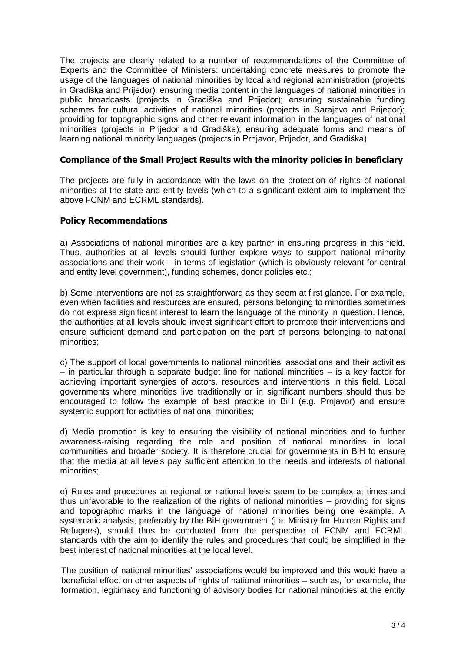The projects are clearly related to a number of recommendations of the Committee of Experts and the Committee of Ministers: undertaking concrete measures to promote the usage of the languages of national minorities by local and regional administration (projects in Gradiška and Prijedor); ensuring media content in the languages of national minorities in public broadcasts (projects in Gradiška and Prijedor); ensuring sustainable funding schemes for cultural activities of national minorities (projects in Sarajevo and Prijedor); providing for topographic signs and other relevant information in the languages of national minorities (projects in Prijedor and Gradiška); ensuring adequate forms and means of learning national minority languages (projects in Prnjavor, Prijedor, and Gradiška).

#### **Compliance of the Small Project Results with the minority policies in beneficiary**

The projects are fully in accordance with the laws on the protection of rights of national minorities at the state and entity levels (which to a significant extent aim to implement the above FCNM and ECRML standards).

#### **Policy Recommendations**

a) Associations of national minorities are a key partner in ensuring progress in this field. Thus, authorities at all levels should further explore ways to support national minority associations and their work – in terms of legislation (which is obviously relevant for central and entity level government), funding schemes, donor policies etc.;

b) Some interventions are not as straightforward as they seem at first glance. For example, even when facilities and resources are ensured, persons belonging to minorities sometimes do not express significant interest to learn the language of the minority in question. Hence, the authorities at all levels should invest significant effort to promote their interventions and ensure sufficient demand and participation on the part of persons belonging to national minorities;

c) The support of local governments to national minorities' associations and their activities – in particular through a separate budget line for national minorities – is a key factor for achieving important synergies of actors, resources and interventions in this field. Local governments where minorities live traditionally or in significant numbers should thus be encouraged to follow the example of best practice in BiH (e.g. Prnjavor) and ensure systemic support for activities of national minorities;

d) Media promotion is key to ensuring the visibility of national minorities and to further awareness-raising regarding the role and position of national minorities in local communities and broader society. It is therefore crucial for governments in BiH to ensure that the media at all levels pay sufficient attention to the needs and interests of national minorities;

e) Rules and procedures at regional or national levels seem to be complex at times and thus unfavorable to the realization of the rights of national minorities – providing for signs and topographic marks in the language of national minorities being one example. A systematic analysis, preferably by the BiH government (i.e. Ministry for Human Rights and Refugees), should thus be conducted from the perspective of FCNM and ECRML standards with the aim to identify the rules and procedures that could be simplified in the best interest of national minorities at the local level.

The position of national minorities' associations would be improved and this would have a beneficial effect on other aspects of rights of national minorities – such as, for example, the formation, legitimacy and functioning of advisory bodies for national minorities at the entity